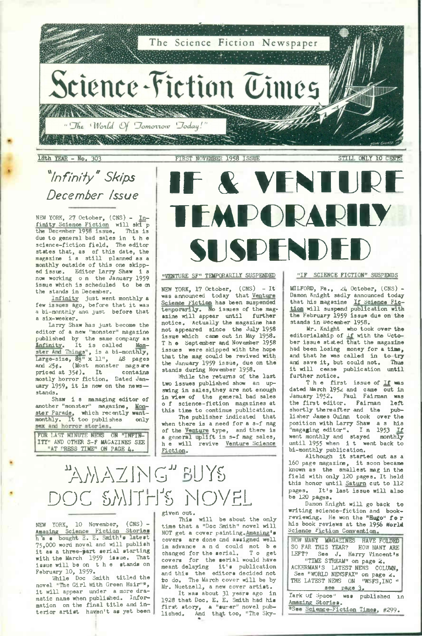Science-Fiction Times

The Science Fiction

"The World Of Tomorrow Today!

 $\mathbb{Z}^n$  ,  $\mathbb{Z}^n$  ,  $\mathbb{Z}^n$ 

18th YEAR - No. 303 FIRST NOVEMBER 1958 ISSUE STILL ONLY 10 CENTS

## *\*Infinity" Skips December issue*

NEW YORK, 27 October, (CNS) - Infinity Science Fiction will ski <sup>p</sup> the December 1958 issue. This is due to general bad sales in the science-fiction field. The editor states that, as of this date, the magazine i <sup>s</sup> still planned as <sup>a</sup> monthly outside of this one skipp-<br>ed issue. Editor Larry Shaw is ed issue. Editor Larry Shaw now working o n the January 1959 issue which is scheduled to be ai the stands in December.

Infinity just went monthly <sup>a</sup> few issues ago, before that it was a bi-monthly ana just before that a six-weeker.

Larry Shaw has just become the editor of a new "monster" magazine published by the same company as Infinity. It is called Mon-<br>ster And Things", is a bi-monthly,<br>Large-size, 85" x 11", 48 pages<br>and 25¢. (Most monster mags are<br>priced at 35¢). It contains priced at 35¢). It contains<br>mostly horror fiction. Dated January 1959, it is now on the news stands.

suands.<br>Shaw i s managing editor of<br>another "monster" magazine, <u>Mon</u>ster Parade, which recently went-monthly. It too publishes only

FOR LAST MINUTE NEWS ON "INFIN-ITY" AND OTHER S-F MAGAZINES SEE "AT PRESS TIME" ON PAGE 4.

# **F** & VENT **FMPORA SUSPENDED**

## "VENTURE SF" TEMPORARILY SUSPENDED

NEW YORK, 17 October, (CNS) - It was announced today that Venture Science Fiction has been suspended<br>temporarily. No issues of the magazine will appear until further notice. Actually the magazine has not appeared since the July 1958 issue which came out in May 1958. The September and November <sup>1958</sup> issues were skipped with the hope that the mag could be revived with the January 1959 issue, due on the stands during November 1958.

While the returns of the last two issues published show an upswing in sales,they are not enough in view of the general bad sales <sup>o</sup> f science-fiction magazines at this time to continue publication.

The publisher indicated that when there is a need for a s-f mag of the Venture type, and there is<br>a general uplift in s-f mag sales, <sup>h</sup> e will revive Venture Science Fiction.

## WAZING BUYS DOC SMITH'S NOVEL

NEW YORK, 10 November, (CNS) - Amazing Science Fiction Stories<br>h a « bought E. E. Smith's latest h a s bought E. E. Smith's latest<br>75,000 word novel and will publish it as <sup>a</sup> three-part serial starting with the March 1959 issue. That issue will be on the stands on February 10, 1959. While Doc Smith titled the

novel "The Girl With Green Hair"\*, it will appear under <sup>a</sup> more dramatic name when published. Information on the final title and interior artist haven't as yet been

## given out.

This will be about the only time that a "Doc Smith" novel will NOT get a cover painting. Amazing's covers are done end assigned well in advance and could not be<br>changed for the serial. To get changed for the serial. covers for the serial would have meant delaying it's publication and this the editors decided not to do. The March cover will be by Mr. Nuetzell, a new cover artist.<br>It was about 31 years ago in

It was about 31 years ago 1928 that Doc. E. E. Smith had his first story, a "surer" novel pub-lished, And that too, "The Sky

### "IF SCIENCE FICTION" SUSPENDS

MILFORD, Pa., <sup>24</sup> October, (CNS) - Damon Knight sadly announced today that his magazine If Science Fic tion will suspend publication with the February 1959 issue due on the stands in December 1958.

Mr. Knight who took over the editorialship of if with the Octo-<br>ber issue stated that the magazine had been losing money for a time, and that he was called in to-try<br>and save it, but could not. Thus and save it, but could not. it will cease publication until further notice.

The first issue of If was dated March 1952 and came out in January 1952. Paul Fairman was<br>the first editor. Fairman left the first editor. Fairman left<br>shortly thereafter and the pubshortly thereafter and the lisher James Quinn took over the<br>position with Larry Shaw as his position with Larry Shaw a s his<br>"magaging editor". In 1953 If<br>went monthly and stayed monthly "magaging editor". I <sup>n</sup> <sup>1953</sup> If went monthly and stayed monthly until <sup>1955</sup> when i t went back to bi-monthly publication.

Although it started out as <sup>a</sup> <sup>160</sup> page magazine, it soon became known as the smallest mag in the field with only 120 pages. It held this honor until Saturn cut to 112 pages. It's last issue will also be 120 pages.

Damon Knight will go back to writing science-fiction and bookreviewing. He won the "Hugo" for his book reviews at the 1956 World Science Fiction Convention.

| HOW MANY MAGAZINES HAVE FOLDED    |
|-----------------------------------|
| SO FAR THIS YEAR? HOW MANY ARE    |
| LEFT? See J. Harry Vincent's      |
| "TIME STREAM" on page 2.          |
| ACKERMAN'S LATEST NEWS COLUMN.    |
| See "WORLD NEWSFAX" on page 2.    |
| THE LATEST NEWS ON "WSFS, INC "   |
| see page 3.                       |
| Iark Of Space" was published in   |
| Amazing Stories.                  |
| *See Science-Fiction Times, #299. |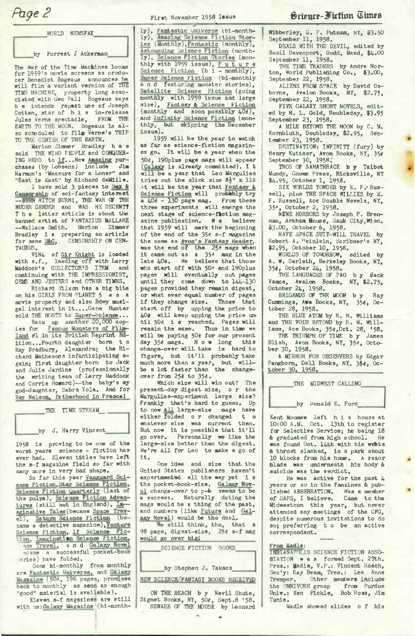WORLD NEWSFAX

by Forrest J Ackerman

The War of the Time Machines looms for 1959's movie screens as producer Benedict Bogeaus announces he will film a variant version of THE TIME MACHINE, property long associated with Geo Pall Bogeaus says <sup>h</sup> e intends repeat use of Joseph Cotten, star of his in-release<br>Jules Verne spectacle. FROM THE Jules Verne spectacle, EARTH TO THE MOON. Bogeaus is also scheduled to filgi Verne's TRIP TO THE CENTER OF THE EARTH.

Marion Zimmer Bradley h a s sold THE WIND PEOPLE and CONQUER-ING HERO to If...New Amazing pur-chases (by Lobsenz) include Jim Harmon's "Measure'for a Loner" and "East is East" by Richard deMille.

I have sold 3 pieces to **Sex &**<br>Censorship of sci-fantasy interest<br>--BURN WITCH BURN!, THE WAR OF THE<br>NUDER GENDER and WAS HE DECENT? The latter article is about the banned artist of FANTAZIUS MALLARE —Wallace Smith. Marion Zimmer Bradley is preparing an article<br>for same S&C, CENSORSHIP ON CEN-TAURUS.

ViN4 of Sir Knight is loaded with s.f., leading off with Larry Maddock's COLLECTOR'S ITEM and continuing with THE IMPRESSIONIST, GEMS AND JESTERS and OTHER TIMES.

Richard Wilson has a big bite on his GIRLS FROM PLANET 5 a s a movie property and also Bdwy musigal interest in it....Gene Hunter

sold THE HOSTS to Super-Science...<br>Rack up another 20,000 cop-<br>ies for Famous Monsters of Filmland #1 .in its British Reprint Edition...Fourth daughter born t <sup>o</sup> Ray Bradbury, Alexandra; the Richard Mathesons infanticipating again; first daughter born to Jack and Julie Jardine (professionally the writing team of Larry Maddock and Corrie Howard)--the baby's my god-daughter, Sabra Yola. And for Ray Nelson, fatherhood in France!

|    |  | THE TIME STREAM  |
|----|--|------------------|
| by |  | J. Harry Vincent |

<sup>1958</sup> is proving to be one of the worst years science - fiction has ever had. Eleven titles have left the s-f magazine field so far with many more in very bad shape.

So far this year Vanguard Science Fiction, Star Science Fiction, Science Fiction Quarterly (last of<br>the pulps), Science Fiction Adven-<br>tures (still out in England), Im aginative Tales (became Space Travel), Saturn Science Fiction came a detective magazine),Venture Science Fiction, If Science Fic-<br>tion, Imagination Science Fiction,<br>ace Travel, and Galaxy Novel ecame a successful pocket-book eries) have folded.

Gone bi-monthly from monthly are Fantastic Universe, and Galaxy Magazine (504, 196 pages, promises back to monthly as soon as enough "good" material is available).

Eleven s-f magazines are still<br>with us;Galaxy Magazine (bi-month-

ly), Fantastic Universe (bi-month-<br>ly), Amazing Science Fiction Stor-<br>ies (Monthly),Fantastic (monthly),<br>Astounding Science Fiction (monthly), Science Fiction Stories (mon-thly with <sup>1959</sup> issue), <sup>F</sup> <sup>u</sup> t <sup>u</sup> r <sup>e</sup> Science Fiction (bi - monthly), Surer Science fiction (bi-monthly and featuring monster stories), Satellite Science Fiction (going monthly with 1959 issue and large size), Fantasy & Science Fiction  $(monthly and soon possibly 40t)$ , and Infinity Science Fiction (monthly, but skipping the December issue).

1959 will be the year to watch as far as science-fiction magazines go. It will be a year when the 504, 190plus page mags will appear laxy is already committed). I t will be <sup>a</sup> year that Leo Margulies tries out the slick size 8}" x 11" It will be the year that Fantasy & Science Fiction will probably try<br>a  $40e - 130$  page mag. From these a  $40e - 130$  page mag. three experiments will emerge the next stage of science-fiction mag-<br>azine publication. We believe azine publication. W e that 1959 will mark the beginning of the end of the <sup>354</sup> s-f magazine the same as Avon's Fantasy Header,<br>was the end of the 25<sup>4</sup> mags when it came out as <sup>a</sup> <sup>354</sup> mag in the late  $40s$ . We believe that those who start off with 50\* and 190plus pages will eventually cut pages until they come down to 144-130 pages provided they remain digest, or what ever equal number of pages if they change size. Those that start off by upping the price to <sup>404</sup> will keep upping the price until <sup>504</sup> i <sup>s</sup> reached. Pages will remain the same. Thus in time we will be paying 504 for our present day 354 mags. How long this change-over will take is hard to figure, but it'll probably take much more than a year, but will-<br>be a lot faster than the changeover from 254 to 35#.

Which size will win out? The present-day digest size, <sup>o</sup> r the Margulies-experiment large size? Frankly that's hard to guess. Up to now all large-size mags have either folded <sup>o</sup> r changed t <sup>o</sup> whatever size was current then. But now it is possible that it'll go over. Personally we like the large-size better than the digest. We're all for Leo to make <sup>a</sup> go of it.

One idea and size that the United States publishers haven't experimented all the way yet is the pocket-book-size. Galaxy Nov-<br>al change-over to p-b seems to be a success. Naturally dating the mags would be a thing of the past, and numbers (like Future and Galaxy Novel) would be the deal.

We still think, tho, that a <sup>98</sup> page, digest-size, <sup>254</sup> s-f mag would go over big!

SCIENCE FICTION BOOKS by Stephen J. Takacs

NEW SCIENCE/FANTASY BOOKS RECEIVED

ON THE BEACH b y Nevil Shute, Signet Books, NY, 50¢, Sept.8 '58.<br>BEWARE OF THE MOUSE by Leonard

Wibberley, G. F. Putnam, NY, \$3.50 September 11, 1958.<br>DEALS WITH THE DEVIL, edited by

Basil Davenport, Dodd, Mead, \$4.00

September 11, 1958.<br>THE TIME TRADERS by Andre Nor-<br>ton, World Publishing Co., \$3.00, September 22, 1958.

ALIENS FROM SPACE by David Osborne, Avalon Books, NY, \$2.75, September 22, 1958.

FIVE GALAXY SHORT NOVELS, edit ed by H. L. Gold, Doubleday, \$3.95 September 23, 1958.

<sup>A</sup> MILE BEYOND THE MOON by C. M. ' Kombluth, Doubleday, \$2.95, Sep-<sup>i</sup> tember 23, 1958.

DESTINATION: INFINITY (fury) by <sup>&</sup>gt; Henry Kuttner, Avon Books, NY, 354 September 30, 1958.'

TROS OF SAMATHRACE b y Talbot Mundy, Gnome Press, Hicksville, NY

\$4.95, October 1, 1958. SIX WORLDS YONDER by E. F.-Rus sell, plus THE SPACE WILLIES by E. : F. Russell, Ace Double Novels, NY, . 35\*, October 2, 1958.

NENE HORRORS by Joseph P. Bren-nan, Arkham Bouse, Sauk City,Wise. \$3.00, October 6, 1958. HAVE SPACE SUIT-WILL TRAVEL by

Robert A. "einlein, Scribner's NY, \$2.95, October 10, 1958.

WORLDS OF TOMORROW, edited by A. W. Derleth, Berkeley Books, NY,<br>354, October 24, 1958.<br>THE LANGUAGES OF PAO by Hack

Vamce, Avalon Books, NY, \$2.75,

October 24, 1958.<br>BRIGANDS OF THE MOON by Ray Cummings, Awe Books, NY, 350, Oc.<br>tober 28, 1958.

THE BLUE ATOM by R. M. Williams and THE VOID BEYOND by R. M. Will-

iams, Ace Books, 35*ê*,Oct. 28, '58.<br>THE TRIUMPH OF TIME b y James<br>Blish, Avon Books, NY, 35<sup>8</sup>, Octo-<br>ber 30, 1958.

A MIRROR FOR OBSERVERS by Edgar Pangborn, Dell Books, NY, 3\$4, October 30, 1958.

|    | THE MIDWEST CALLING |  |
|----|---------------------|--|
| bv | Donald E. Ford      |  |

Kent Moomaw left his house at 10:00 A.M. Oct. 13th to register for Selective Service; he being 18<br>& graduated from high school. He & graduated from high school. was found Oct. 14th with his write & throat slashed, in a park about 10 blocks from his home. <sup>A</sup> razor blade was underneath his body & suicide was the verdict.

He was active for the past 4 years or so in the fanzines & published ABBERRATION. Was a member of SAPS, I believe. Midwestcon this year, but never attended any meetings of the CFG, despite numerous invitations to do so; preferring to be an active correspondant.

### From Madle:

INDIANAPOLIS SCIENCE FICTION ASSO-8IATI0N was formed Sept. 27th. Pres.: Madle, V.P.: Vincent Roach, Sec'y: Ray Beam, Tres.: Lee Anne Tremper. Other members include the OMNIVORE group from Purdue Univ.: Ken Fickle, Bob Ross, Jim Tunis.

Madle showed slides <sup>o</sup> f his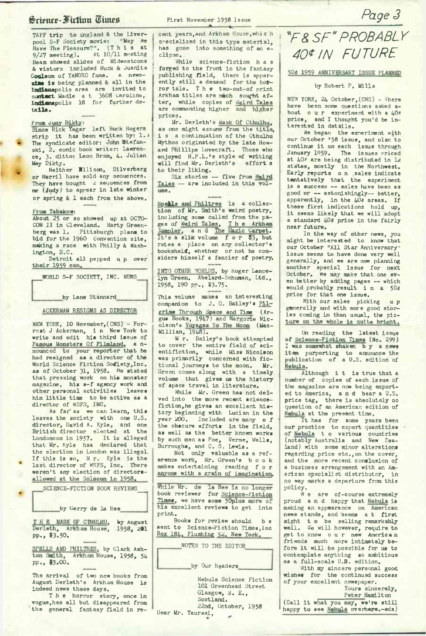## ^rienrr-Siirtuin ®iuws

TAFF trip to England & the Liverpool S-F Society movie: "May We<br>Have The Pleasure?". (This at !<br>9/27 meeting). At 10/11 meeting Beam showed slides of Midwestcons & vistors included Buck & Juanita **Coulson** of YANDRO fame. a news**sins is** being planned & all in the **Indianapolis** area are invited to contect Madle a t 3608 Caroline, **Indianapolis** 18 for further de**tails.**

From Juay Dikty: Since Rick Yager left Buck Rogers strip, it has been written by: 1. The syndicate editor: John Btefanski, 2. comic book writer: Lawrence, 3. ditto: Leon Bram, 4. Julian May Dikty.

Neither Bllison, Silverberg or Merril have sold any seouences. They have bought 2 sequences from me (Judy) to appear in late winter or spring & 1 each from the above.

## From Tabakow:

About 25 or so showed up at OCTO-CON II in Cleveland. Marty Greenberg was 1. Pittsburgh plans to bid for the I960 Convention site, making a race with Philly & Washington, D.C.

Detroit all pepped <sup>u</sup> p over their 1959 con.

WORLD S-F SOCIETY, INC. NEWS

by Lane Stannard

ACKERMAN RESIGNS AS DIRECTOR

NEW YORK, 10 November, (CNS) - Forrest <sup>J</sup> Ackerman, i <sup>n</sup> New York to write and edit his third issue of Famous Monsters Of Filmland, a n-nounced to your reporter that he had resigned as a director of the<br>World Science Fiction Sofiety, Inc. as of October 31, 1958. He stated that pressing work on his monster magazine, his s-f agency work and<br>other personal activities leaves other personal activities him little time to be active as <sup>a</sup> director of WSFS, INC.

As far'as we can learn, this leaves the society with one U.S. director, David A. Kyle, and one British director elected at the Londoncon in 1957. It is alleged that Mr. Kyle has declared that the election in London was illegal. If this is so, M r. Kyle is the<br>last director of WSFS, Inc. There weren't any election of directorsallowed at the Solacon in 1958.

SCIENCE-FICTION BOOK REVIEWS

٠

by Gerry de la Ree

THE MASK OF CTHULHU, by August<br>Derleth, Arkham House, 1958, 201<br>pp., \$3.50.

SPELLS AND PHILTRES, by Clark Ash-<br>ton Smith, Arkham House, 1958, 54<br>pp., \$3.00.

The arrival of two new books from August Derleth's Arkham House is indeed news these days.

The horror story, once in vogue,has all but disappeared from the general fantasy field in recent years,and Arkham House,whic h s-ecialized in this type material, has gone into something of an eclipse.

While science-fiction h a s forged to the front in the fantasy publishing field, there is apparently still a demand for the hotror tale. The two-out-of print Arkham titles are mach sought after, while copies of weird Tales<br>are commanding higher and higher prices.

Mr. Derleth's Mask Of Cthulhu, as one might assume from the title, i s a continuation of the Cthulhu Mythos originated by the late Howard Phillips Lovecraft. Those who enjoyed H.P.L.'s style of writing will find Mr. Derleth's effort s to their liking.

Six stories -- five from Weird Tales — are included in this volume.

Spells and Philtres is a collec-<br>tion of Mr. Smith's weird poetry, including some culled from the pages of Weird Tales, The Arkham Sampler, and The Magic Carpet. It's <sup>a</sup> slim volume f or \$3, but rates a place on any. collector's bookshelf, whether or not he considers himself a fancier of poetry.

INTO OTHER WORLDS, by Koger Lancelyn Green. Abelard-Schuman, Ltd., 1958, 190 pn., 53.75.

Ibis volume makes an interesting companion to J. 0. Bailey's Pilgrims Through Space and Time (Ar-gus Books, 1947) and Margorie Nicolson's Voyages To The Moon (Mac-<br>Millian, 1948).

<sup>M</sup> r. Bailey's book attempted to cover the entire field of sci-entifiction, while Miss Nicolson was primarily concerned with fictional journeys to the moon. Mr. Green comes along with a timely volume that gives us the history of space travel in literature.

While Mr. Green has not delved into the more recent sciencefiction,he gives an excellent history beginning with Lucian in the year 200. Included are many <sup>o</sup> f the obscure efforts in the field, as well as the better known works by such men as Poe, Verne, Wells, Burroughs, and C. S. Lewis.

Not only valuable as a reference work, Mr. Green's book makes entertaining reading for anyone with a grain of imagination.

While Mr. de la Ree is no longer book reviewer for Science-Fiction<br>Times, we have some 30plus more of his excellent reviews to get into print.

Books for review should b <sup>e</sup> sent to Science-Fiction Times, Inc Box 184, Flushing 52, New York.

NOTES TO THE EDITOR

by Our Readers

Nebula Science Fiction 101 Greenhead Street Glasgow, S. E., Scotland. 22nd, October, 1958 Dear Mr. Taurasi,

## *^F&SF^PROBABLY 40\*IN FUTURE*

*Page 3*

504 1959 ANNIVERSARY ISSUE PLANNED

## by Robert P. Mills

NEW YORK, 24 October,(CNS) - ihere have been some questions asked about our experiment with a 40\* price, and I thought you'd be interested in details.

We began the experiment with our October '58 issue, and plan to continue it on each issue through January 1959. The issues priced at 40\* are being distributed in 12 states, mostly in the Northwest. Early reports o n .sales indicate tentatively that the experiment is a success — sales have been as good or -- astonishingly-- better,<br>apparently, in the 40¢ areas. If<br>these first indications hold up, it seems likely that we will adopt a standard 40# price in the fairly near future.

In the way of other news, you might be interested to know that our October "All Star Anniversary" issue seems to have done very well generally, and we are now planning another special issue for next October. We may make that one even better by adding pages — which would probably result i <sup>n</sup> <sup>a</sup> <sup>504</sup> price for that one issue.

With our sales picking up generally and with more good stories coming in than usual, the picture on the whole is quite bright.

On reading the latest issue of Science-Fiction Times (No. 299) I was somewhat shaken b y a news item purporting to announce the publication of a U.S. edition of Nebula.

Although i t is true that <sup>a</sup> number of copies of each issue of the magazine are now being exported to America, and bear <sup>a</sup> U.S. price tag, there is absolutely no question of an American edition of Nebula at the present time.

It has for some years been our practice to export quantities of Nebula t <sup>o</sup> various countries (notably Australia and New Zealand) with some minor alterations regarding price etc.,on the cover, and the more recent conelusion of a business arrangement with an American specialist distributor, in no way marks a departure from this policy.

W e are of-course extremely proud and happy that Nebula is making an appearance on American news stands, and seems <sup>a</sup> t first sight t <sup>o</sup> be selling remarkably well. We will however, require to get to know our new American friends much more intimately before it will be possible for us to contemplate anything so ambitious as a full-scale U.8. edition.

With my sincere personal good wishes for the continued success of your excellent newspaper.

Yours sincerely, Peter Hamilton

(Call it what you may, we're still happy to see Nebula overhere.-eds)